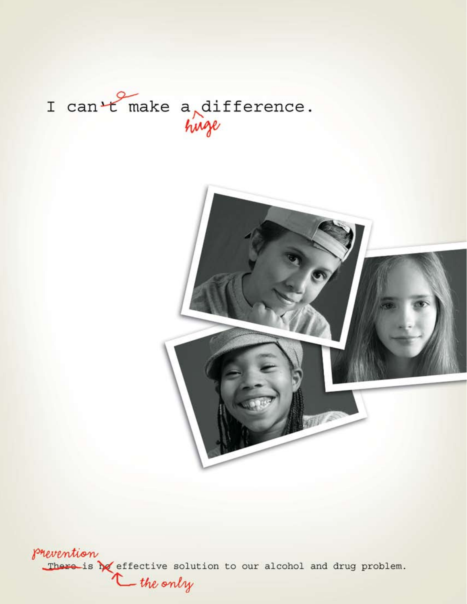



prevention There is the effective solution to our alcohol and drug problem.<br>the only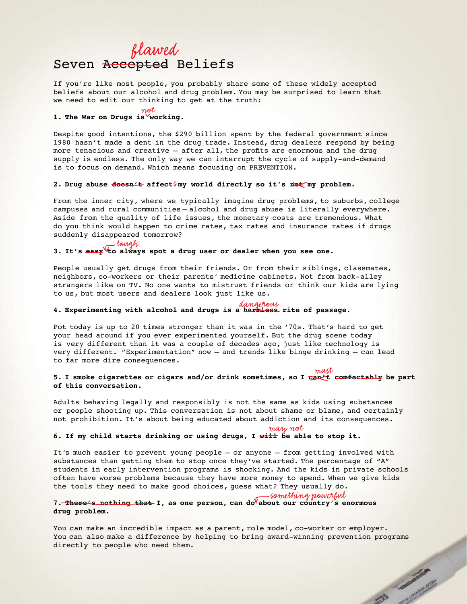## Seven Accepted Beliefs *flawed*

If you're like most people, you probably share some of these widely accepted beliefs about our alcohol and drug problem. You may be surprised to learn that we need to edit our thinking to get at the truth:

#### **1. The War on Drugs is working.** *not*

Despite good intentions, the \$290 billion spent by the federal government since 1980 hasn't made a dent in the drug trade. Instead, drug dealers respond by being more tenacious and creative — after all, the profits are enormous and the drug supply is endless. The only way we can interrupt the cycle of supply-and-demand is to focus on demand. Which means focusing on PREVENTION.

#### 2. Drug abuse doesn't affect**/my world directly so it's mot my problem.**

From the inner city, where we typically imagine drug problems, to suburbs, college campuses and rural communities — alcohol and drug abuse is literally everywhere. Aside from the quality of life issues, the monetary costs are tremendous. What do you think would happen to crime rates, tax rates and insurance rates if drugs suddenly disappeared tomorrow?

#### **3. It's easy to always spot a drug user or dealer when you see one.**  *tough*

People usually get drugs from their friends. Or from their siblings, classmates, neighbors, co-workers or their parents' medicine cabinets. Not from back-alley strangers like on TV. No one wants to mistrust friends or think our kids are lying to us, but most users and dealers look just like us.

## **4. Experimenting with alcohol and drugs is a harmless rite of passage.** *dangerous*

Pot today is up to 20 times stronger than it was in the '70s. That's hard to get your head around if you ever experimented yourself. But the drug scene today is very different than it was a couple of decades ago, just like technology is very different. "Experimentation" now — and trends like binge drinking — can lead to far more dire consequences.

#### **5. I smoke cigarettes or cigars and/or drink sometimes, so I can't comfortably be part of this conversation.** *must*

Adults behaving legally and responsibly is not the same as kids using substances or people shooting up. This conversation is not about shame or blame, and certainly not prohibition. It's about being educated about addiction and its consequences.

#### *may not*

#### **6. If my child starts drinking or using drugs, I will be able to stop it.**

It's much easier to prevent young people — or anyone — from getting involved with substances than getting them to stop once they've started. The percentage of "A" students in early intervention programs is shocking. And the kids in private schools often have worse problems because they have more money to spend. When we give kids the tools they need to make good choices, guess what? They usually do.

#### 7. There's nothing that I, as one person, can do about our country's enormous **drug problem.**  *something powerful*

You can make an incredible impact as a parent, role model, co-worker or employer. You can also make a difference by helping to bring award-winning prevention programs directly to people who need them. All Contractor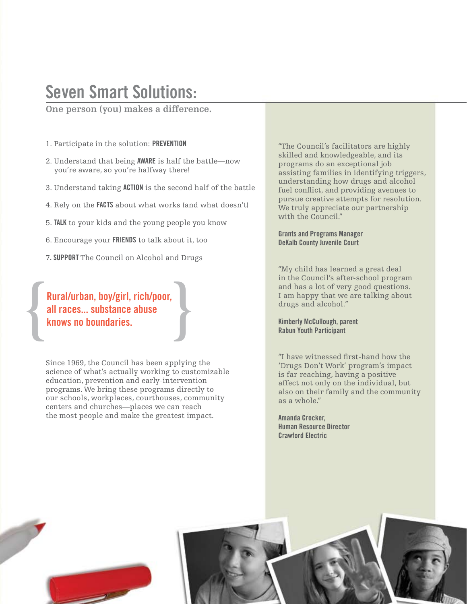## Seven Smart Solutions:

**One person (you) makes a difference.** 

- 1. Participate in the solution: PREVENTION
- 2. Understand that being AWARE is half the battle—now you're aware, so you're halfway there!
- 3. Understand taking ACTION is the second half of the battle
- 4. Rely on the FACTS about what works (and what doesn't)
- 5. TALK to your kids and the young people you know
- 6. Encourage your FRIENDS to talk about it, too
- 7. SUPPORT The Council on Alcohol and Drugs

### { } Rural/urban, boy/girl, rich/poor, all races... substance abuse knows no boundaries.

Since 1969, the Council has been applying the science of what's actually working to customizable education, prevention and early-intervention programs. We bring these programs directly to our schools, workplaces, courthouses, community centers and churches—places we can reach the most people and make the greatest impact.

"The Council's facilitators are highly skilled and knowledgeable, and its programs do an exceptional job assisting families in identifying triggers, understanding how drugs and alcohol fuel conflict, and providing avenues to pursue creative attempts for resolution. We truly appreciate our partnership with the Council."

Grants and Programs Manager DeKalb County Juvenile Court

"My child has learned a great deal in the Council's after-school program and has a lot of very good questions. I am happy that we are talking about drugs and alcohol."

#### Kimberly McCullough, parent Rabun Youth Participant

"I have witnessed first-hand how the 'Drugs Don't Work' program's impact is far-reaching, having a positive affect not only on the individual, but also on their family and the community as a whole."

Amanda Crocker, Human Resource Director Crawford Electric

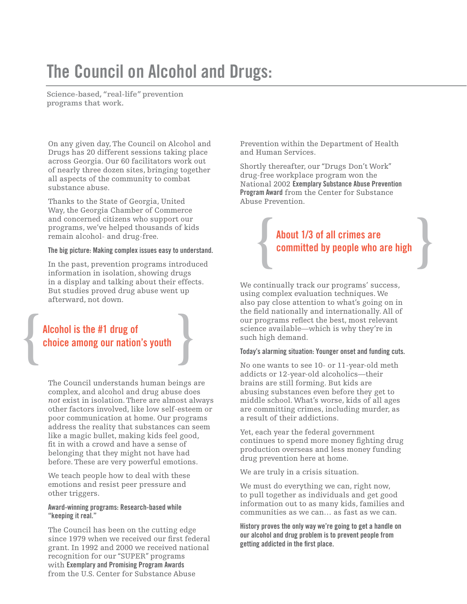## The Council on Alcohol and Drugs:

**Science-based, "real-life" prevention programs that work.**

On any given day, The Council on Alcohol and Drugs has 20 different sessions taking place across Georgia. Our 60 facilitators work out of nearly three dozen sites, bringing together all aspects of the community to combat substance abuse.

Thanks to the State of Georgia, United Way, the Georgia Chamber of Commerce and concerned citizens who support our programs, we've helped thousands of kids remain alcohol- and drug-free.

#### The big picture: Making complex issues easy to understand.

In the past, prevention programs introduced information in isolation, showing drugs in a display and talking about their effects. But studies proved drug abuse went up afterward, not down.

# Alcohol is the #1 drug of<br>choice among our nation's youth choice among our nation's youth

The Council understands human beings are complex, and alcohol and drug abuse does *not* exist in isolation. There are almost always other factors involved, like low self-esteem or poor communication at home. Our programs address the reality that substances can seem like a magic bullet, making kids feel good, fit in with a crowd and have a sense of belonging that they might not have had before. These are very powerful emotions.

We teach people how to deal with these emotions and resist peer pressure and other triggers.

#### Award-winning programs: Research-based while "keeping it real."

The Council has been on the cutting edge since 1979 when we received our first federal grant. In 1992 and 2000 we received national recognition for our "SUPER" programs with Exemplary and Promising Program Awards from the U.S. Center for Substance Abuse

Prevention within the Department of Health and Human Services.

Shortly thereafter, our "Drugs Don't Work" drug-free workplace program won the National 2002 Exemplary Substance Abuse Prevention Program Award from the Center for Substance Abuse Prevention.

# About 1/3 of all crimes are<br>
committed by people who are high committed by people who are high

We continually track our programs' success, using complex evaluation techniques. We also pay close attention to what's going on in the field nationally and internationally. All of our programs reflect the best, most relevant science available—which is why they're in such high demand.

#### Today's alarming situation: Younger onset and funding cuts.

No one wants to see 10- or 11-year-old meth addicts or 12-year-old alcoholics—their brains are still forming. But kids are abusing substances even before they get to middle school. What's worse, kids of all ages are committing crimes, including murder, as a result of their addictions.

Yet, each year the federal government continues to spend more money fighting drug production overseas and less money funding drug prevention here at home.

We are truly in a crisis situation.

We must do everything we can, right now, to pull together as individuals and get good information out to as many kids, families and communities as we can… as fast as we can.

History proves the only way we're going to get a handle on our alcohol and drug problem is to prevent people from getting addicted in the first place.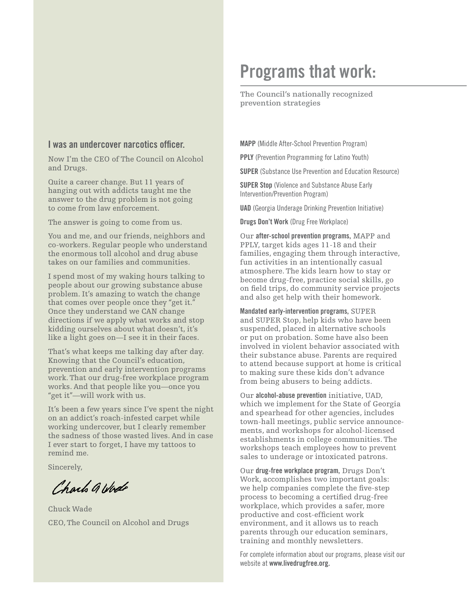## Programs that work:

**The Council's nationally recognized prevention strategies**

#### I was an undercover narcotics officer.

Now I'm the CEO of The Council on Alcohol and Drugs.

Quite a career change. But 11 years of hanging out with addicts taught me the answer to the drug problem is not going to come from law enforcement.

The answer is going to come from us.

You and me, and our friends, neighbors and co-workers. Regular people who understand the enormous toll alcohol and drug abuse takes on our families and communities.

I spend most of my waking hours talking to people about our growing substance abuse problem. It's amazing to watch the change that comes over people once they "get it." Once they understand we CAN change directions if we apply what works and stop kidding ourselves about what doesn't, it's like a light goes on—I see it in their faces.

That's what keeps me talking day after day. Knowing that the Council's education, prevention and early intervention programs work. That our drug-free workplace program works. And that people like you—once you "get it"—will work with us.

It's been a few years since I've spent the night on an addict's roach-infested carpet while working undercover, but I clearly remember the sadness of those wasted lives. And in case I ever start to forget, I have my tattoos to remind me.

Sincerely,

Charle a Wede

Chuck Wade CEO, The Council on Alcohol and Drugs MAPP (Middle After-School Prevention Program)

PPLY (Prevention Programming for Latino Youth)

SUPER (Substance Use Prevention and Education Resource)

SUPER Stop (Violence and Substance Abuse Early Intervention/Prevention Program)

UAD (Georgia Underage Drinking Prevention Initiative)

Drugs Don't Work (Drug Free Workplace)

Our after-school prevention programs, MAPP and PPLY, target kids ages 11-18 and their families, engaging them through interactive, fun activities in an intentionally casual atmosphere. The kids learn how to stay or become drug-free, practice social skills, go on field trips, do community service projects and also get help with their homework.

Mandated early-intervention programs, SUPER and SUPER Stop, help kids who have been suspended, placed in alternative schools or put on probation. Some have also been involved in violent behavior associated with their substance abuse. Parents are required to attend because support at home is critical to making sure these kids don't advance from being abusers to being addicts.

Our alcohol-abuse prevention initiative, UAD, which we implement for the State of Georgia and spearhead for other agencies, includes town-hall meetings, public service announcements, and workshops for alcohol-licensed establishments in college communities. The workshops teach employees how to prevent sales to underage or intoxicated patrons.

Our drug-free workplace program, Drugs Don't Work, accomplishes two important goals: we help companies complete the five-step process to becoming a certified drug-free workplace, which provides a safer, more productive and cost-efficient work environment, and it allows us to reach parents through our education seminars, training and monthly newsletters.

For complete information about our programs, please visit our website at www.livedrugfree.org.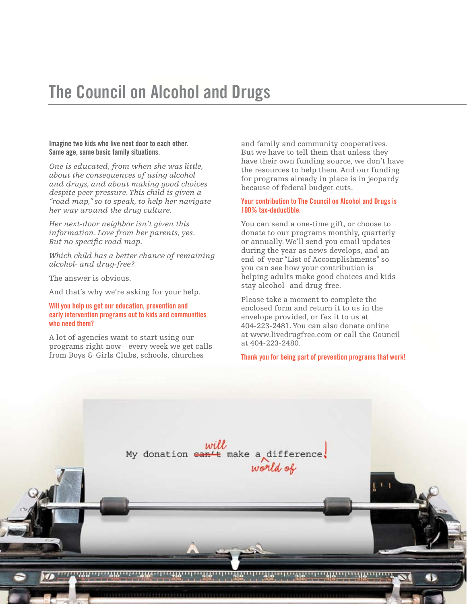## The Council on Alcohol and Drugs

#### Imagine two kids who live next door to each other. Same age, same basic family situations.

*One is educated, from when she was little, about the consequences of using alcohol and drugs, and about making good choices despite peer pressure. This child is given a "road map," so to speak, to help her navigate her way around the drug culture.*

*Her next-door neighbor isn't given this information. Love from her parents, yes. But no specific road map.* 

*Which child has a better chance of remaining alcohol- and drug-free?*

The answer is obvious.

And that's why we're asking for your help.

#### Will you help us get our education, prevention and early intervention programs out to kids and communities who need them?

A lot of agencies want to start using our programs right now—every week we get calls from Boys & Girls Clubs, schools, churches

and family and community cooperatives. But we have to tell them that unless they have their own funding source, we don't have the resources to help them. And our funding for programs already in place is in jeopardy because of federal budget cuts.

#### Your contribution to The Council on Alcohol and Drugs is 100% tax-deductible.

You can send a one-time gift, or choose to donate to our programs monthly, quarterly or annually. We'll send you email updates during the year as news develops, and an end-of-year "List of Accomplishments" so you can see how your contribution is helping adults make good choices and kids stay alcohol- and drug-free.

Please take a moment to complete the enclosed form and return it to us in the envelope provided, or fax it to us at 404-223-2481. You can also donate online at www.livedrugfree.com or call the Council at 404-223-2480.

Thank you for being part of prevention programs that work!

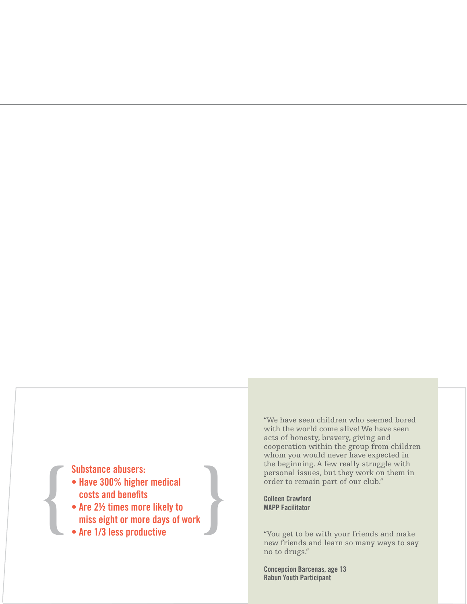- Have 300% higher medical costs and benefits
- Substance abusers:<br>
 Have 300% higher medical<br>
costs and benefits<br>
 Are 2½ times more likely to<br>
miss eight or more days of work<br>
 Are 1/3 less productive • Are 2½ times more likely to miss eight or more days of work
	- Are 1/3 less productive

"We have seen children who seemed bored with the world come alive! We have seen acts of honesty, bravery, giving and cooperation within the group from children whom you would never have expected in the beginning. A few really struggle with personal issues, but they work on them in order to remain part of our club."

Colleen Crawford MAPP Facilitator

"You get to be with your friends and make new friends and learn so many ways to say no to drugs."

Concepcion Barcenas, age 13 Rabun Youth Participant